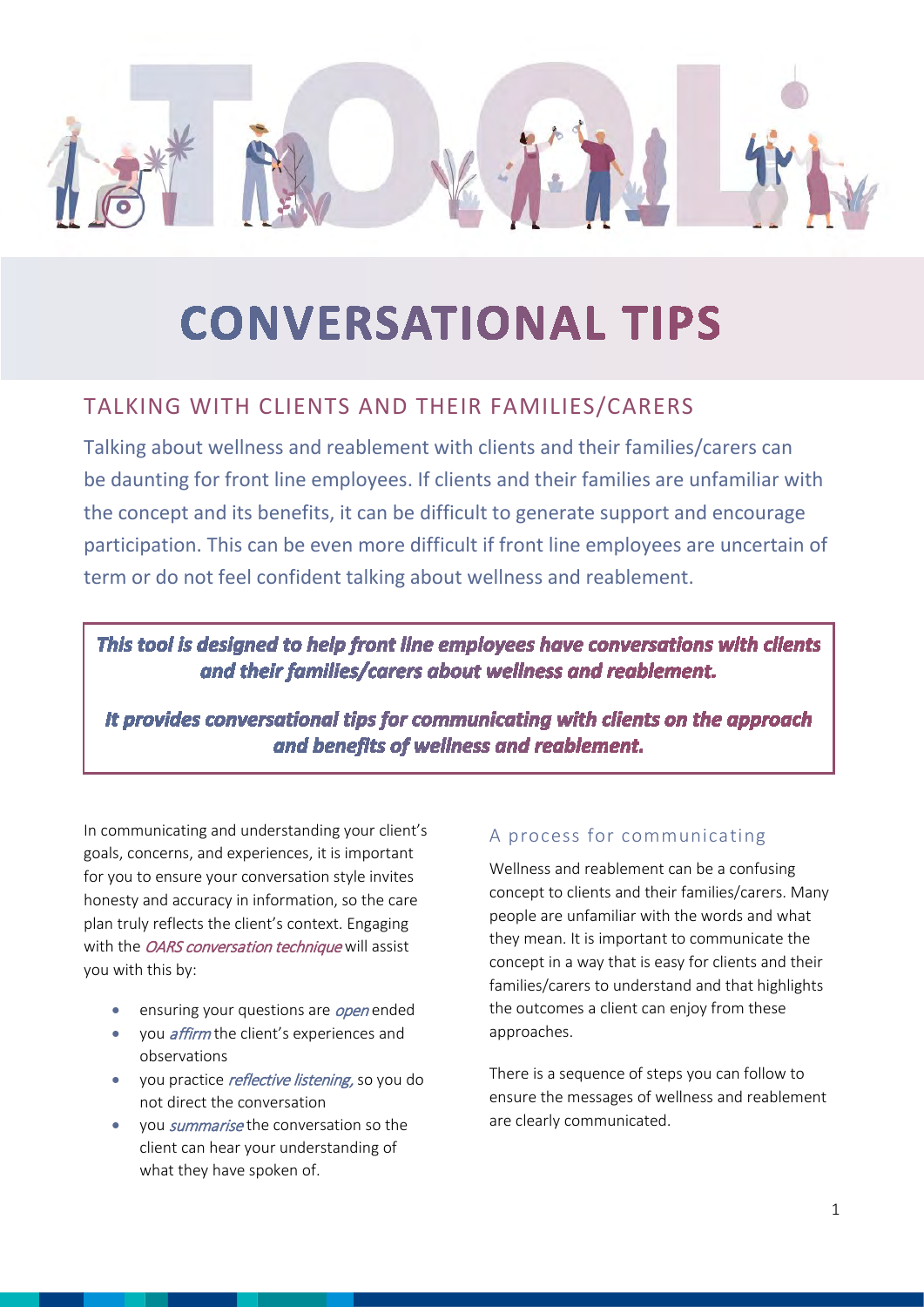

# **CONVERSATIONAL TIPS**

## TALKING WITH CLIENTS AND THEIR FAMILIES/CARERS

Talking about wellness and reablement with clients and their families/carers can be daunting for front line employees. If clients and their families are unfamiliar with the concept and its benefits, it can be difficult to generate support and encourage participation. This can be even more difficult if front line employees are uncertain of term or do not feel confident talking about wellness and reablement.

This tool is designed to help front line employees have conversations with clients and their families/carers about wellness and reablement.

It provides conversational tips for communicating with clients on the approach and benefits of wellness and reablement.

In communicating and understanding your client's goals, concerns, and experiences, it is important for you to ensure your conversation style invites honesty and accuracy in information, so the care plan truly reflects the client's context. Engaging with the *OARS conversation technique* will assist you with this by:

- ensuring your questions are *open* ended
- you *affirm* the client's experiences and observations
- vou practice *reflective listening*, so you do not direct the conversation
- you *summarise* the conversation so the client can hear your understanding of what they have spoken of.

## A process for communicating

Wellness and reablement can be a confusing concept to clients and their families/carers. Many people are unfamiliar with the words and what they mean. It is important to communicate the concept in a way that is easy for clients and their families/carers to understand and that highlights the outcomes a client can enjoy from these approaches.

There is a sequence of steps you can follow to ensure the messages of wellness and reablement are clearly communicated.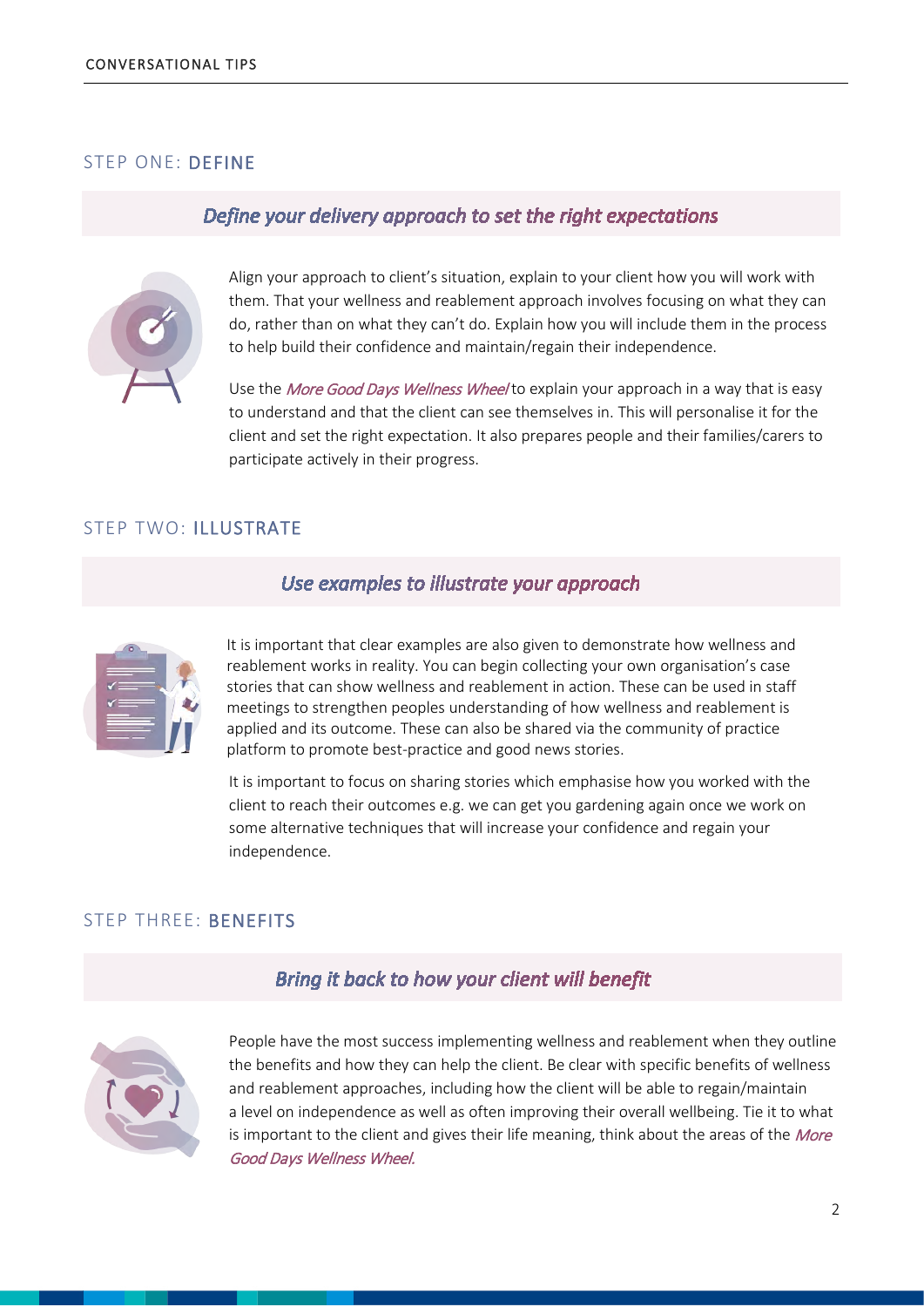#### STEP ONE: DEFINE

#### Define your delivery approach to set the right expectations



Align your approach to client's situation, explain to your client how you will work with them. That your wellness and reablement approach involves focusing on what they can do, rather than on what they can't do. Explain how you will include them in the process to help build their confidence and maintain/regain their independence.

Use the More Good Days Wellness Wheel to explain your approach in a way that is easy to understand and that the client can see themselves in. This will personalise it for the client and set the right expectation. It also prepares people and their families/carers to participate actively in their progress.

#### STEP TWO: ILLUSTRATE

#### Use examples to illustrate your approach



It is important that clear examples are also given to demonstrate how wellness and reablement works in reality. You can begin collecting your own organisation's case stories that can show wellness and reablement in action. These can be used in staff meetings to strengthen peoples understanding of how wellness and reablement is applied and its outcome. These can also be shared via the community of practice platform to promote best-practice and good news stories.

It is important to focus on sharing stories which emphasise how you worked with the client to reach their outcomes e.g. we can get you gardening again once we work on some alternative techniques that will increase your confidence and regain your independence.

#### STEP THREE: BENEFITS

#### Bring it back to how your client will benefit



People have the most success implementing wellness and reablement when they outline the benefits and how they can help the client. Be clear with specific benefits of wellness and reablement approaches, including how the client will be able to regain/maintain a level on independence as well as often improving their overall wellbeing. Tie it to what is important to the client and gives their life meaning, think about the areas of the More Good Days Wellness Wheel.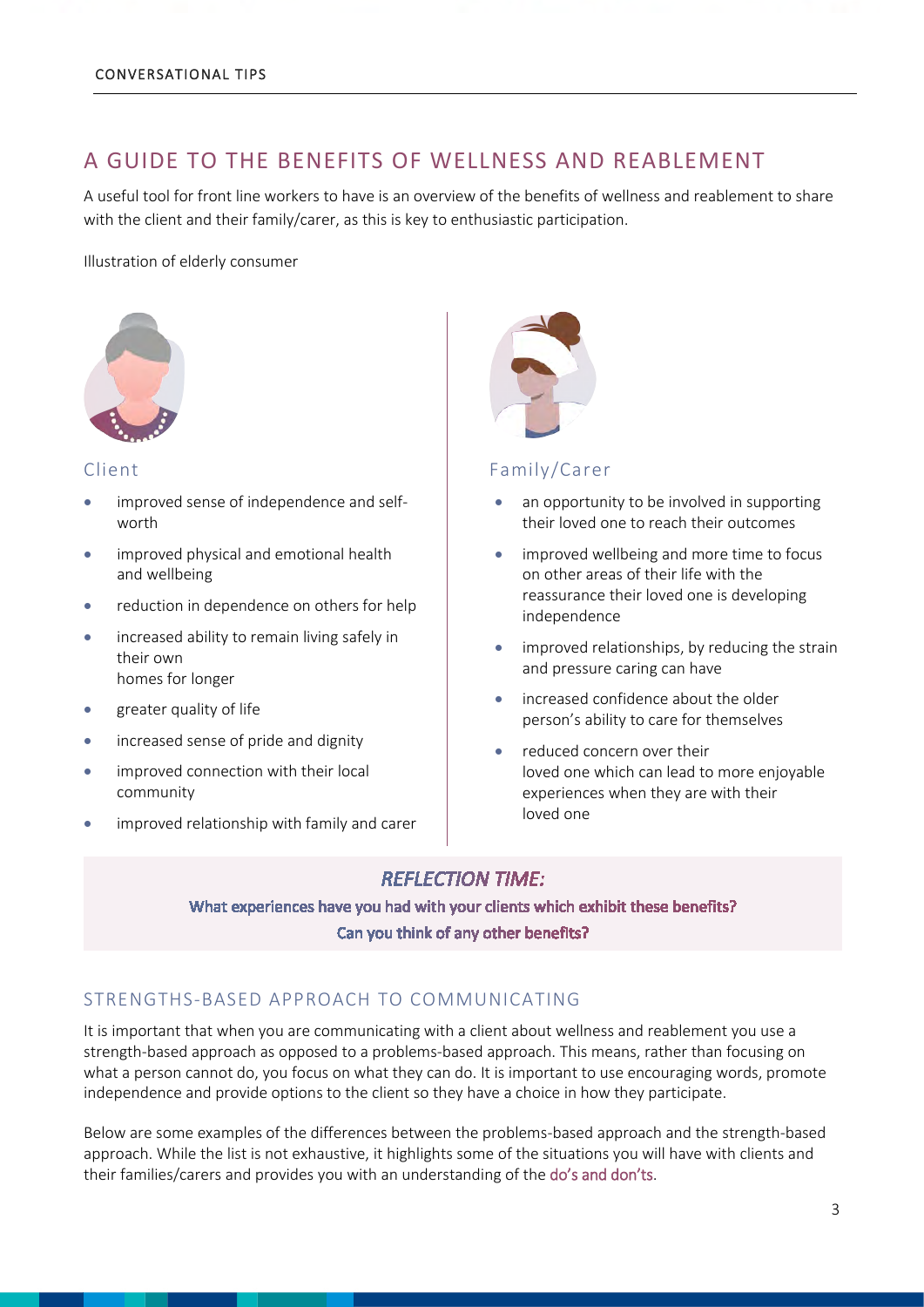## A GUIDE TO THE BENEFITS OF WELLNESS AND REABLEMENT

A useful tool for front line workers to have is an overview of the benefits of wellness and reablement to share with the client and their family/carer, as this is key to enthusiastic participation.

Illustration of elderly consumer



#### Client

- improved sense of independence and selfworth
- improved physical and emotional health and wellbeing
- reduction in dependence on others for help
- increased ability to remain living safely in their own homes for longer
- greater quality of life
- increased sense of pride and dignity
- improved connection with their local community
- improved relationship with family and carer



#### Family/Carer

- an opportunity to be involved in supporting their loved one to reach their outcomes
- improved wellbeing and more time to focus on other areas of their life with the reassurance their loved one is developing independence
- improved relationships, by reducing the strain and pressure caring can have
- increased confidence about the older person's ability to care for themselves
- reduced concern over their loved one which can lead to more enjoyable experiences when they are with their loved one

## **REFLECTION TIME:**

What experiences have you had with your clients which exhibit these benefits? Can you think of any other benefits?

## STRENGTHS-BASED APPROACH TO COMMUNICATING

It is important that when you are communicating with a client about wellness and reablement you use a strength-based approach as opposed to a problems-based approach. This means, rather than focusing on what a person cannot do, you focus on what they can do. It is important to use encouraging words, promote independence and provide options to the client so they have a choice in how they participate.

Below are some examples of the differences between the problems-based approach and the strength-based approach. While the list is not exhaustive, it highlights some of the situations you will have with clients and their families/carers and provides you with an understanding of the do's and don'ts.